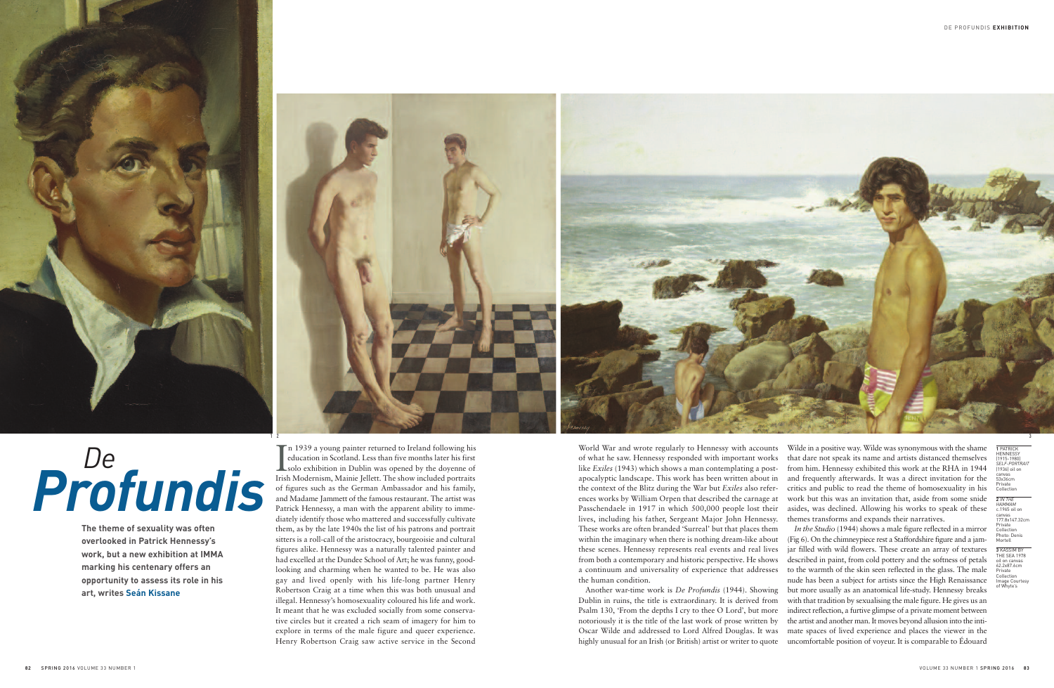World War and wrote regularly to Hennessy with accounts of what he saw. Hennessy responded with important works like *Exiles* (1943) which shows a man contemplating a postapocalyptic landscape. This work has been written about in the context of the Blitz during the War but *Exiles* also references works by William Orpen that described the carnage at Passchendaele in 1917 in which 500,000 people lost their lives, including his father, Sergeant Major John Hennessy. These works are often branded 'Surreal' but that places them Wilde in a positive way. Wilde was synonymous with the shame that dare not speak its name and artists distanced themselves from him. Hennessy exhibited this work at the RHA in 1944 and frequently afterwards. It was a direct invitation for the critics and public to read the theme of homosexuality in his work but this was an invitation that, aside from some snide asides, was declined. Allowing his works to speak of these themes transforms and expands their narratives. *In the Studio* (1944) shows a male figure reflected in a mirror (Fig 6). On the chimneypiece rest a Staffordshire figure and a jamjar filled with wild flowers. These create an array of textures described in paint, from cold pottery and the softness of petals to the warmth of the skin seen reflected in the glass. The male nude has been a subject for artists since the High Renaissance

within the imaginary when there is nothing dream-like about these scenes. Hennessy represents real events and real lives from both a contemporary and historic perspective. He shows a continuum and universality of experience that addresses the human condition. Another war-time work is *De Profundis* (1944). Showing Dublin in ruins, the title is extraordinary. It is derived from Psalm 130, 'From the depths I cry to thee O Lord', but more notoriously it is the title of the last work of prose written by Oscar Wilde and addressed to Lord Alfred Douglas. It was highly unusual for an Irish (or British) artist or writer to quote but more usually as an anatomical life-study. Hennessy breaks with that tradition by sexualising the male figure. He gives us an indirect reflection, a furtive glimpse of a private moment between the artist and another man. It moves beyond allusion into the intimate spaces of lived experience and places the viewer in the uncomfortable position of voyeur. It is comparable to Édouard

In 1939 a young painter returned to Ireland following his<br>education in Scotland. Less than five months later his first<br>solo exhibition in Dublin was opened by the doyenne of<br>Irish Modernism. Mainie Jellett. The show includ education in Scotland. Less than five months later his first solo exhibition in Dublin was opened by the doyenne of Irish Modernism, Mainie Jellett. The show included portraits of figures such as the German Ambassador and his family, and Madame Jammett of the famous restaurant. The artist was Patrick Hennessy, a man with the apparent ability to immediately identify those who mattered and successfully cultivate them, as by the late 1940s the list of his patrons and portrait sitters is a roll-call of the aristocracy, bourgeoisie and cultural figures alike. Hennessy was a naturally talented painter and had excelled at the Dundee School of Art; he was funny, goodlooking and charming when he wanted to be. He was also gay and lived openly with his life-long partner Henry Robertson Craig at a time when this was both unusual and illegal. Hennessy's homosexuality coloured his life and work. It meant that he was excluded socially from some conservative circles but it created a rich seam of imagery for him to explore in terms of the male figure and queer experience. Henry Robertson Craig saw active service in the Second

**The theme of sexuality was often overlooked in Patrick Hennessy's work, but a new exhibition at IMMA marking his centenary offers an opportunity to assess its role in his art, writes Seán Kissane**

## *De Profundis*

**1** PATRICK **HENNESSY** (1915-1980) *SELF-PORTRAIT* (1936) oil on canvas 53x36cm Private Collection

**2** *IN THE HAMMAM* c.1965 oil on canvas 177.8x147.32cm Private Collection Photo: Denis Mortell

**3** KASSIM BY THE SEA 1978 oil on canvas 62.2x87.6cm Private Collection Image Courtesy of Whyte's